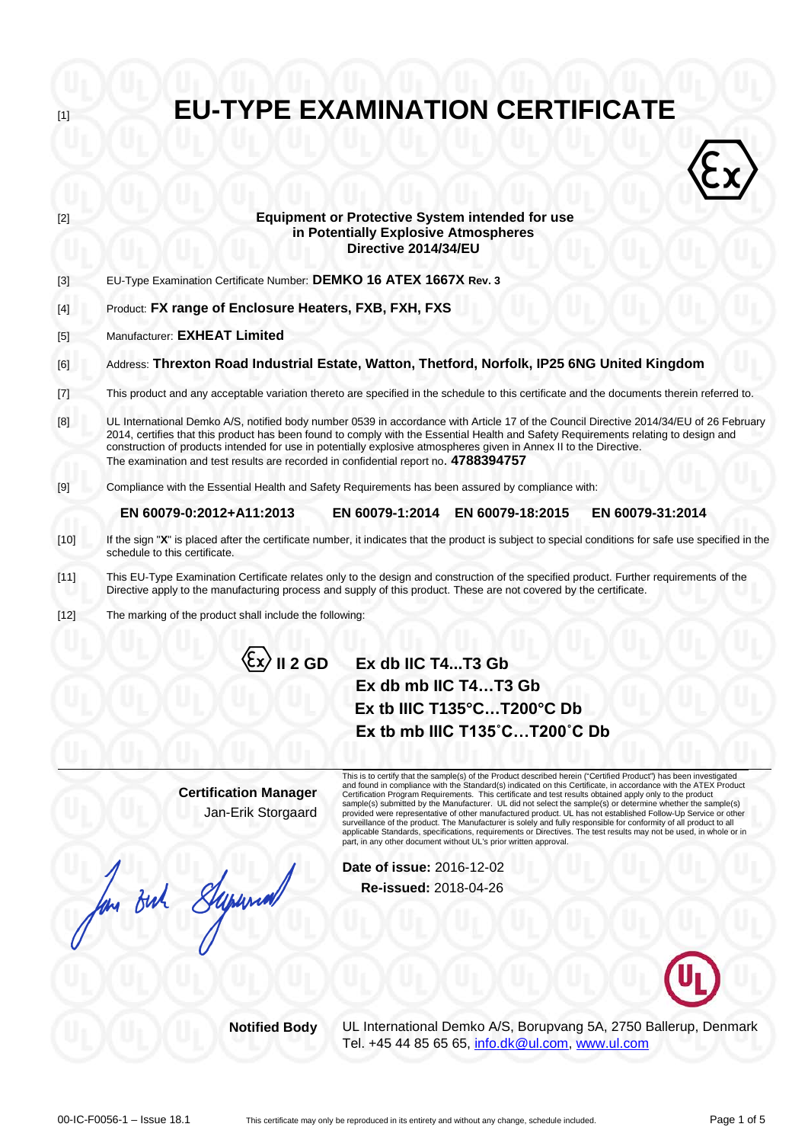**EU-TYPE EXAMINATION CERTIFICATE Equipment or Protective System intended for use**  $\langle \hat{\epsilon} \rangle$ **in Potentially Explosive Atmospheres Directive 2014/34/EU** [3] EU-Type Examination Certificate Number: **DEMKO 16 ATEX 1667X Rev. 3** [4] Product: **FX range of Enclosure Heaters, FXB, FXH, FXS** [5] Manufacturer: **EXHEAT Limited** [6] Address: **Threxton Road Industrial Estate, Watton, Thetford, Norfolk, IP25 6NG United Kingdom** [7] This product and any acceptable variation thereto are specified in the schedule to this certificate and the documents therein referred to. [8] UL International Demko A/S, notified body number 0539 in accordance with Article 17 of the Council Directive 2014/34/EU of 26 February 2014, certifies that this product has been found to comply with the Essential Health and Safety Requirements relating to design and construction of products intended for use in potentially explosive atmospheres given in Annex II to the Directive. The examination and test results are recorded in confidential report no. **4788394757** [9] Compliance with the Essential Health and Safety Requirements has been assured by compliance with: **EN 60079-0:2012+A11:2013 EN 60079-1:2014 EN 60079-18:2015 EN 60079-31:2014** [10] If the sign "**X**" is placed after the certificate number, it indicates that the product is subject to special conditions for safe use specified in the schedule to this certificate. [11] This EU-Type Examination Certificate relates only to the design and construction of the specified product. Further requirements of the Directive apply to the manufacturing process and supply of this product. These are not covered by the certificate.

[12] The marking of the product shall include the following:

# **II 2 GD Ex db IIC T4...T3 Gb Ex db mb IIC T4…T3 Gb Ex tb IIIC T135°C…T200°C Db**

**Certification Manager** Jan-Erik Storgaard

for But Supermall

This is to certify that the sample(s) of the Product described herein ("Certified Product") has been investigated<br>and found in compliance with the Standard(s) indicated on this Certificate, in accordance with the ATEX Prod Certification Program Requirements. This certificate and test results obtained apply only to the product sample(s) submitted by the Manufacturer. UL did not select the sample(s) or determine whether the sample(s) provided were representative of other manufactured product. UL has not established Follow-Up Service or other<br>surveillance of the product. The Manufacturer is solely and fully responsible for conformity of all product to a applicable Standards, specifications, requirements or Directives. The test results may not be used, in whole or in part, in any other document without UL's prior written approval.

**Ex tb mb IIIC T135˚C…T200˚C Db**

**Date of issue:** 2016-12-02 **Re-issued:** 2018-04-26



**Notified Body** UL International Demko A/S, Borupvang 5A, 2750 Ballerup, Denmark Tel. +45 44 85 65 65, [info.dk@ul.com,](mailto:info.dk@ul.com) [www.ul.com](http://www.ul.com/)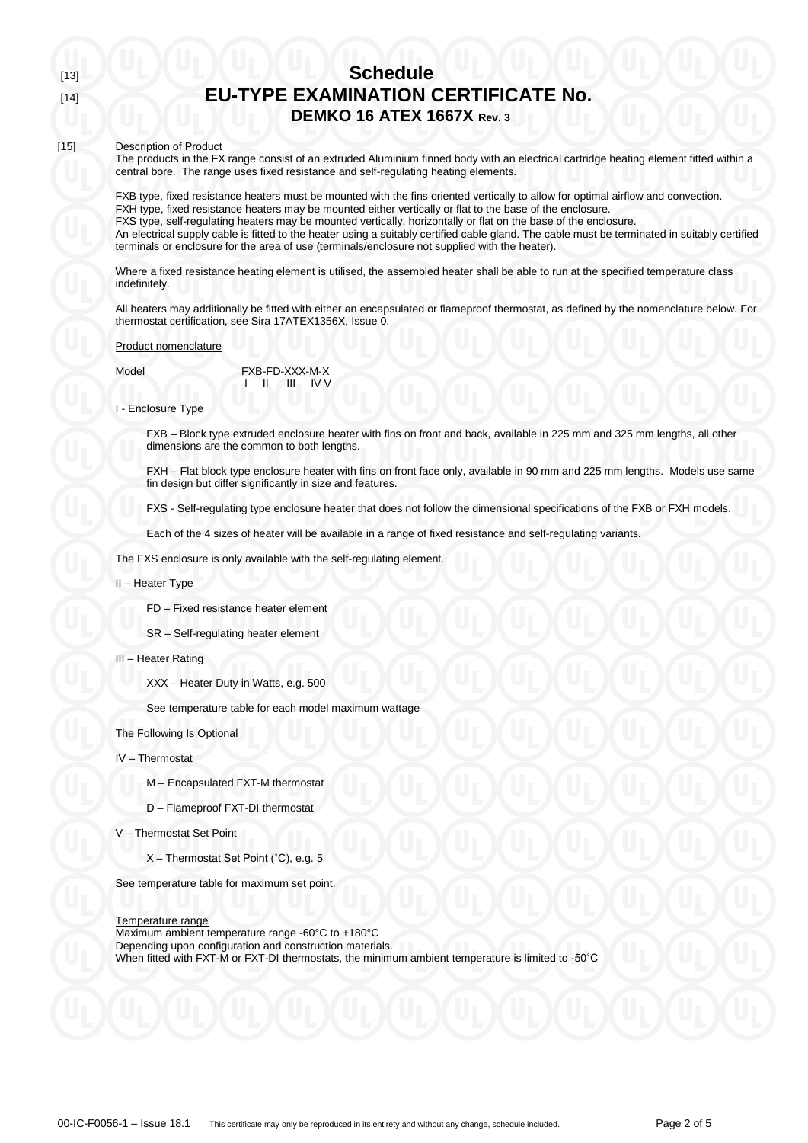### [15] Description of Product

The products in the FX range consist of an extruded Aluminium finned body with an electrical cartridge heating element fitted within a central bore. The range uses fixed resistance and self-regulating heating elements.

FXB type, fixed resistance heaters must be mounted with the fins oriented vertically to allow for optimal airflow and convection. FXH type, fixed resistance heaters may be mounted either vertically or flat to the base of the enclosure. FXS type, self-regulating heaters may be mounted vertically, horizontally or flat on the base of the enclosure. An electrical supply cable is fitted to the heater using a suitably certified cable gland. The cable must be terminated in suitably certified terminals or enclosure for the area of use (terminals/enclosure not supplied with the heater).

Where a fixed resistance heating element is utilised, the assembled heater shall be able to run at the specified temperature class indefinitely.

All heaters may additionally be fitted with either an encapsulated or flameproof thermostat, as defined by the nomenclature below. For thermostat certification, see Sira 17ATEX1356X, Issue 0.

### Product nomenclature

| Model | FXB-FD-XXX-M-X                                      |  |  |
|-------|-----------------------------------------------------|--|--|
|       | $\mathbf{U}$ $\mathbf{U}$ $\mathbf{U}$ $\mathbf{V}$ |  |  |

### I - Enclosure Type

FXB – Block type extruded enclosure heater with fins on front and back, available in 225 mm and 325 mm lengths, all other dimensions are the common to both lengths.

FXH – Flat block type enclosure heater with fins on front face only, available in 90 mm and 225 mm lengths. Models use same fin design but differ significantly in size and features.

FXS - Self-regulating type enclosure heater that does not follow the dimensional specifications of the FXB or FXH models.

Each of the 4 sizes of heater will be available in a range of fixed resistance and self-regulating variants.

The FXS enclosure is only available with the self-regulating element.

### II – Heater Type

FD – Fixed resistance heater element

- SR Self-regulating heater element
- III Heater Rating

XXX – Heater Duty in Watts, e.g. 500

See temperature table for each model maximum wattage

The Following Is Optional

- IV Thermostat
	- M Encapsulated FXT-M thermostat
	- D Flameproof FXT-DI thermostat
- V Thermostat Set Point
	- X Thermostat Set Point (˚C), e.g. 5

See temperature table for maximum set point.

#### Temperature range

Maximum ambient temperature range -60°C to +180°C Depending upon configuration and construction materials. When fitted with FXT-M or FXT-DI thermostats, the minimum ambient temperature is limited to -50˚C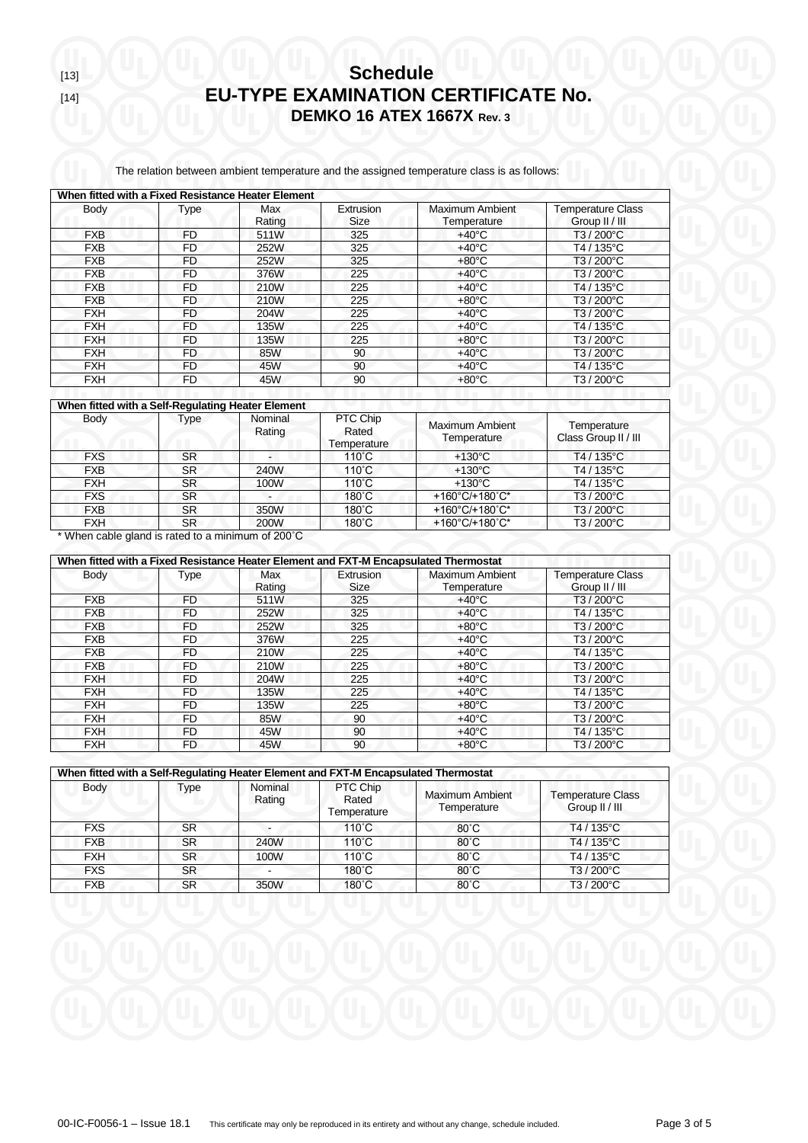The relation between ambient temperature and the assigned temperature class is as follows:

| When fitted with a Fixed Resistance Heater Element |           |               |                   |                                |                                            |  |  |
|----------------------------------------------------|-----------|---------------|-------------------|--------------------------------|--------------------------------------------|--|--|
| Body                                               | Type      | Max<br>Rating | Extrusion<br>Size | Maximum Ambient<br>Temperature | <b>Temperature Class</b><br>Group II / III |  |  |
| <b>FXB</b>                                         | FD        | 511W          | 325               | $+40^{\circ}$ C                | T3 / 200°C                                 |  |  |
| <b>FXB</b>                                         | FD        | 252W          | 325               | $+40^{\circ}$ C                | T4 / 135°C                                 |  |  |
| <b>FXB</b>                                         | FD.       | 252W          | 325               | $+80^{\circ}$ C                | T3/200°C                                   |  |  |
| <b>FXB</b>                                         | FD        | 376W          | 225               | $+40^{\circ}$ C                | T3 / 200°C                                 |  |  |
| <b>FXB</b>                                         | FD        | 210W          | 225               | $+40^{\circ}$ C                | T4 / 135°C                                 |  |  |
| <b>FXB</b>                                         | FD.       | 210W          | 225               | $+80^{\circ}$ C                | T3 / 200°C                                 |  |  |
| <b>FXH</b>                                         | <b>FD</b> | 204W          | 225               | $+40^{\circ}$ C                | T3/200°C                                   |  |  |
| <b>FXH</b>                                         | FD        | 135W          | 225               | $+40^{\circ}$ C                | T4 / 135°C                                 |  |  |
| <b>FXH</b>                                         | FD        | 135W          | 225               | $+80^{\circ}$ C                | T3/200°C                                   |  |  |
| <b>FXH</b>                                         | FD.       | 85W           | 90                | $+40^{\circ}$ C                | T3 / 200°C                                 |  |  |
| <b>FXH</b>                                         | FD.       | 45W           | 90                | $+40^{\circ}$ C                | T4/135°C                                   |  |  |
| <b>FXH</b>                                         | <b>FD</b> | 45W           | 90                | $+80^{\circ}$ C                | T3 / 200°C                                 |  |  |

| When fitted with a Self-Regulating Heater Element |             |                   |                                  |                                       |                                     |  |  |
|---------------------------------------------------|-------------|-------------------|----------------------------------|---------------------------------------|-------------------------------------|--|--|
| Body                                              | <b>Type</b> | Nominal<br>Rating | PTC Chip<br>Rated<br>Temperature | <b>Maximum Ambient</b><br>Temperature | Temperature<br>Class Group II / III |  |  |
| <b>FXS</b>                                        | <b>SR</b>   |                   | $110^{\circ}$ C                  | $+130^{\circ}$ C                      | T4 / 135°C                          |  |  |
| <b>FXB</b>                                        | <b>SR</b>   | 240W              | 110°C                            | $+130^{\circ}$ C                      | T4 / 135°C                          |  |  |
| <b>FXH</b>                                        | <b>SR</b>   | 100W              | $110^{\circ}$ C                  | $+130^{\circ}$ C                      | T4 / 135°C                          |  |  |
| <b>FXS</b>                                        | <b>SR</b>   |                   | $180^{\circ}$ C                  | +160°C/+180°C*                        | T3 / 200°C                          |  |  |
| <b>FXB</b>                                        | <b>SR</b>   | 350W              | $180^{\circ}$ C                  | +160°C/+180°C*                        | T3 / 200°C                          |  |  |
| <b>FXH</b>                                        | <b>SR</b>   | <b>200W</b>       | $180^{\circ}$ C                  | +160°C/+180°C*                        | T3 / 200°C                          |  |  |

\* When cable gland is rated to a minimum of 200˚C

| When fitted with a Fixed Resistance Heater Element and FXT-M Encapsulated Thermostat |           |               |                          |                                |                                            |  |  |
|--------------------------------------------------------------------------------------|-----------|---------------|--------------------------|--------------------------------|--------------------------------------------|--|--|
| <b>Body</b>                                                                          | Type      | Max<br>Rating | Extrusion<br><b>Size</b> | Maximum Ambient<br>Temperature | <b>Temperature Class</b><br>Group II / III |  |  |
| <b>FXB</b>                                                                           | FD        | 511W          | 325                      | $+40^{\circ}$ C                | T3 / 200°C                                 |  |  |
| <b>FXB</b>                                                                           | FD        | 252W          | 325                      | $+40^{\circ}$ C                | T4 / 135°C                                 |  |  |
| <b>FXB</b>                                                                           | FD        | 252W          | 325                      | $+80^{\circ}$ C                | T3 / 200°C                                 |  |  |
| <b>FXB</b>                                                                           | FD        | 376W          | 225                      | $+40^{\circ}$ C                | T3 / 200°C                                 |  |  |
| <b>FXB</b>                                                                           | FD        | 210W          | 225                      | $+40^{\circ}$ C                | T4 / 135°C                                 |  |  |
| <b>FXB</b>                                                                           | FD        | 210W          | 225                      | $+80^{\circ}$ C                | T3 / 200°C                                 |  |  |
| <b>FXH</b>                                                                           | <b>FD</b> | 204W          | 225                      | $+40^{\circ}$ C                | T3 / 200°C                                 |  |  |
| <b>FXH</b>                                                                           | <b>FD</b> | <b>135W</b>   | 225                      | $+40^{\circ}$ C                | T4 / 135°C                                 |  |  |
| <b>FXH</b>                                                                           | <b>FD</b> | 135W          | 225                      | $+80^{\circ}$ C                | T3 / 200°C                                 |  |  |
| <b>FXH</b>                                                                           | FD        | 85W           | 90                       | $+40^{\circ}$ C                | T3 / 200°C                                 |  |  |
| <b>FXH</b>                                                                           | FD        | 45W           | 90                       | $+40^{\circ}$ C                | T4 / 135°C                                 |  |  |
| <b>FXH</b>                                                                           | FD        | 45W           | 90                       | $+80^{\circ}$ C                | T3 / 200°C                                 |  |  |

| When fitted with a Self-Regulating Heater Element and FXT-M Encapsulated Thermostat |           |                   |                                  |                                       |                                            |  |  |
|-------------------------------------------------------------------------------------|-----------|-------------------|----------------------------------|---------------------------------------|--------------------------------------------|--|--|
| Body                                                                                | Type      | Nominal<br>Rating | PTC Chip<br>Rated<br>Temperature | <b>Maximum Ambient</b><br>Temperature | <b>Temperature Class</b><br>Group II / III |  |  |
| <b>FXS</b>                                                                          | <b>SR</b> |                   | $110^{\circ}$ C                  | $80^{\circ}$ C                        | $T4/135^{\circ}$ C                         |  |  |
| <b>FXB</b>                                                                          | <b>SR</b> | 240W              | $110^{\circ}$ C                  | $80^{\circ}$ C                        | T4/135°C                                   |  |  |
| <b>FXH</b>                                                                          | <b>SR</b> | 100W              | $110^{\circ}$ C                  | $80^{\circ}$ C                        | T4/135°C                                   |  |  |
| <b>FXS</b>                                                                          | <b>SR</b> |                   | $180^{\circ}$ C                  | $80^{\circ}$ C                        | T3/200°C                                   |  |  |
| <b>FXB</b>                                                                          | SR        | 350W              | $180^{\circ}$ C                  | $80^{\circ}$ C                        | T3/200°C                                   |  |  |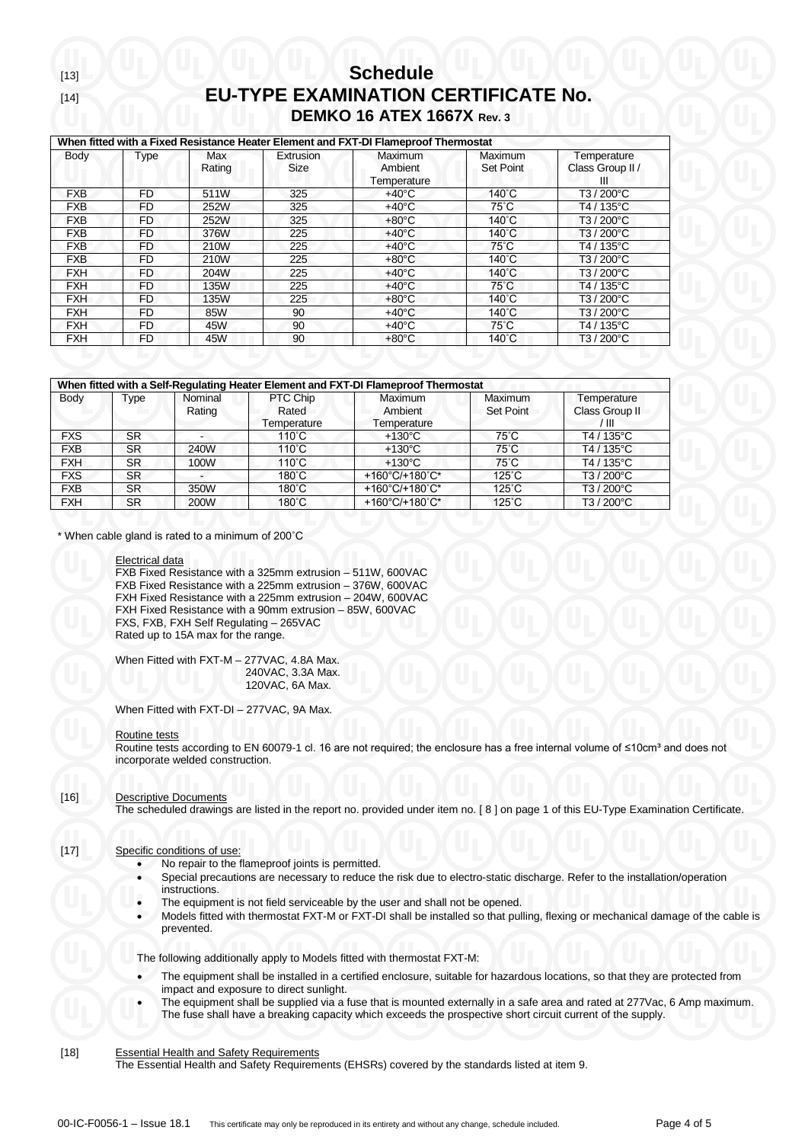| When fitted with a Fixed Resistance Heater Element and FXT-DI Flameproof Thermostat |           |                      |                   |                                   |                             |                                      |  |  |
|-------------------------------------------------------------------------------------|-----------|----------------------|-------------------|-----------------------------------|-----------------------------|--------------------------------------|--|--|
| Body                                                                                | Type      | <b>Max</b><br>Rating | Extrusion<br>Size | Maximum<br>Ambient<br>Temperature | Maximum<br><b>Set Point</b> | Temperature<br>Class Group II /<br>Ш |  |  |
| <b>FXB</b>                                                                          | FD        | 511W                 | 325               | $+40^{\circ}$ C                   | $140^{\circ}$ C             | T3/200°C                             |  |  |
| <b>FXB</b>                                                                          | <b>FD</b> | 252W                 | 325               | $+40^{\circ}$ C                   | $75^{\circ}$ C              | T4/135°C                             |  |  |
| <b>FXB</b>                                                                          | FD.       | 252W                 | 325               | $+80^{\circ}$ C                   | $140^{\circ}$ C             | T3 / 200°C                           |  |  |
| <b>FXB</b>                                                                          | <b>FD</b> | 376W                 | 225               | $+40^{\circ}$ C                   | $140^{\circ}$ C             | T3/200°C                             |  |  |
| <b>FXB</b>                                                                          | FD        | 210W                 | 225               | $+40^{\circ}$ C                   | $75^{\circ}$ C              | T4 / 135°C                           |  |  |
| <b>FXB</b>                                                                          | <b>FD</b> | 210W                 | 225               | $+80^{\circ}$ C                   | 140°C                       | T3 / 200°C                           |  |  |
| <b>FXH</b>                                                                          | FD.       | 204W                 | 225               | $+40^{\circ}$ C                   | $140^{\circ}$ C             | T3/200°C                             |  |  |
| <b>FXH</b>                                                                          | <b>FD</b> | 135W                 | 225               | $+40^{\circ}$ C                   | 75°C                        | T4 / 135°C                           |  |  |
| <b>FXH</b>                                                                          | <b>FD</b> | 135W                 | 225               | $+80^{\circ}$ C                   | $140^{\circ}$ C             | T3 / 200°C                           |  |  |
| <b>FXH</b>                                                                          | FD        | 85W                  | 90                | $+40^{\circ}$ C                   | 140°C                       | T3/200°C                             |  |  |
| <b>FXH</b>                                                                          | <b>FD</b> | 45W                  | 90                | $+40^{\circ}$ C                   | $75^{\circ}$ C              | T4 / 135°C                           |  |  |
| <b>FXH</b>                                                                          | FD        | 45W                  | 90                | $+80^{\circ}$ C                   | 140°C                       | T3 / 200°C                           |  |  |

| When fitted with a Self-Regulating Heater Element and FXT-DI Flameproof Thermostat |           |                   |                                  |                                          |                                    |                                       |  |  |  |
|------------------------------------------------------------------------------------|-----------|-------------------|----------------------------------|------------------------------------------|------------------------------------|---------------------------------------|--|--|--|
| Body                                                                               | Type      | Nominal<br>Rating | PTC Chip<br>Rated<br>Temperature | Maximum<br><b>Ambient</b><br>Temperature | <b>Maximum</b><br><b>Set Point</b> | Temperature<br>Class Group II<br>'III |  |  |  |
| <b>FXS</b>                                                                         | <b>SR</b> |                   | $110^{\circ}$ C                  | $+130^{\circ}$ C                         | $75^{\circ}$ C                     | T4/135°C                              |  |  |  |
| <b>FXB</b>                                                                         | <b>SR</b> | 240W              | $110^{\circ}$ C                  | $+130^{\circ}$ C                         | $75^{\circ}$ C                     | $T4/135^{\circ}$ C                    |  |  |  |
| <b>FXH</b>                                                                         | SR.       | 100W              | $110^{\circ}$ C                  | $+130^{\circ}$ C                         | $75^{\circ}$ C                     | T4/135°C                              |  |  |  |
| <b>FXS</b>                                                                         | <b>SR</b> |                   | $180^\circ C$                    | +160°C/+180°C*                           | $125^{\circ}$ C                    | T3/200°C                              |  |  |  |
| <b>FXB</b>                                                                         | <b>SR</b> | 350W              | 180°C                            | +160°C/+180°C*                           | $125^\circ$ C                      | T3/200°C                              |  |  |  |
| <b>FXH</b>                                                                         | <b>SR</b> | 200W              | $180^{\circ}$ C                  | +160°C/+180°C*                           | $125^{\circ}$ C                    | T3/200°C                              |  |  |  |

\* When cable gland is rated to a minimum of 200˚C

#### Electrical data

FXB Fixed Resistance with a 325mm extrusion – 511W, 600VAC FXB Fixed Resistance with a 225mm extrusion – 376W, 600VAC FXH Fixed Resistance with a 225mm extrusion – 204W, 600VAC FXH Fixed Resistance with a 90mm extrusion – 85W, 600VAC FXS, FXB, FXH Self Regulating – 265VAC Rated up to 15A max for the range.

When Fitted with FXT-M – 277VAC, 4.8A Max. 240VAC, 3.3A Max. 120VAC, 6A Max.

When Fitted with FXT-DI – 277VAC, 9A Max.

#### Routine tests

Routine tests according to EN 60079-1 cl. 16 are not required; the enclosure has a free internal volume of ≤10cm<sup>3</sup> and does not incorporate welded construction.

### [16] Descriptive Documents

The scheduled drawings are listed in the report no. provided under item no. [ 8 ] on page 1 of this EU-Type Examination Certificate.

### [17] Specific conditions of use:

- No repair to the flameproof joints is permitted.
- Special precautions are necessary to reduce the risk due to electro-static discharge. Refer to the installation/operation instructions.
- The equipment is not field serviceable by the user and shall not be opened.
- Models fitted with thermostat FXT-M or FXT-DI shall be installed so that pulling, flexing or mechanical damage of the cable is prevented.

The following additionally apply to Models fitted with thermostat FXT-M:

- The equipment shall be installed in a certified enclosure, suitable for hazardous locations, so that they are protected from impact and exposure to direct sunlight.
- The equipment shall be supplied via a fuse that is mounted externally in a safe area and rated at 277Vac, 6 Amp maximum. The fuse shall have a breaking capacity which exceeds the prospective short circuit current of the supply.

[18] Essential Health and Safety Requirements

The Essential Health and Safety Requirements (EHSRs) covered by the standards listed at item 9.